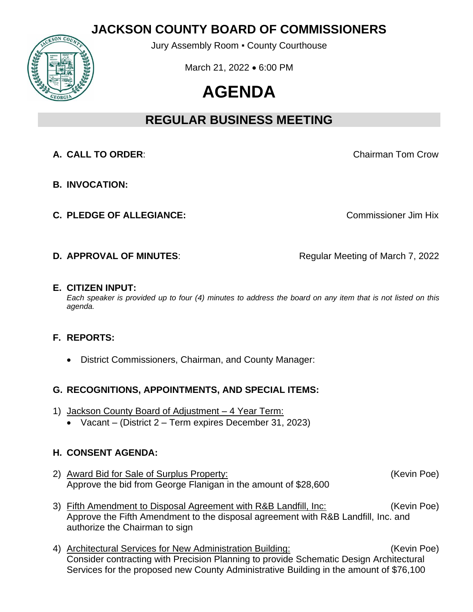## **JACKSON COUNTY BOARD OF COMMISSIONERS**



Jury Assembly Room ▪ County Courthouse

March 21, 2022 • 6:00 PM

# **AGENDA**

## **REGULAR BUSINESS MEETING**

- **A. CALL TO ORDER**: Chairman Tom Crow
- **B. INVOCATION:**
- **C. PLEDGE OF ALLEGIANCE:** C. **PLEDGE OF ALLEGIANCE:** COMMISSIONER JIM Hix

- **D. APPROVAL OF MINUTES:** Regular Meeting of March 7, 2022
- **E. CITIZEN INPUT:**

*Each speaker is provided up to four (4) minutes to address the board on any item that is not listed on this agenda.*

#### **F. REPORTS:**

• District Commissioners, Chairman, and County Manager:

#### **G. RECOGNITIONS, APPOINTMENTS, AND SPECIAL ITEMS:**

- 1) Jackson County Board of Adjustment 4 Year Term:
	- Vacant (District 2 Term expires December 31, 2023)

#### **H. CONSENT AGENDA:**

- 2) Award Bid for Sale of Surplus Property: (Kevin Poe) Approve the bid from George Flanigan in the amount of \$28,600
- 3) Fifth Amendment to Disposal Agreement with R&B Landfill, Inc: (Kevin Poe) Approve the Fifth Amendment to the disposal agreement with R&B Landfill, Inc. and authorize the Chairman to sign
- 4) Architectural Services for New Administration Building: (Kevin Poe) Consider contracting with Precision Planning to provide Schematic Design Architectural Services for the proposed new County Administrative Building in the amount of \$76,100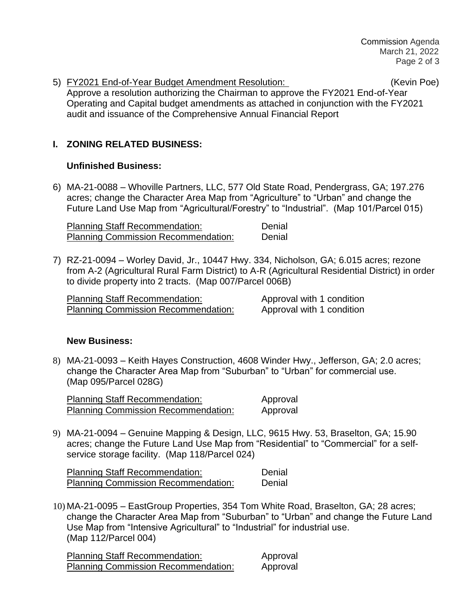5) FY2021 End-of-Year Budget Amendment Resolution: (Kevin Poe) Approve a resolution authorizing the Chairman to approve the FY2021 End-of-Year Operating and Capital budget amendments as attached in conjunction with the FY2021 audit and issuance of the Comprehensive Annual Financial Report

#### **I. ZONING RELATED BUSINESS:**

#### **Unfinished Business:**

6) MA-21-0088 – Whoville Partners, LLC, 577 Old State Road, Pendergrass, GA; 197.276 acres; change the Character Area Map from "Agriculture" to "Urban" and change the Future Land Use Map from "Agricultural/Forestry" to "Industrial". (Map 101/Parcel 015)

Planning Staff Recommendation: Denial Planning Commission Recommendation: Denial

7) RZ-21-0094 – Worley David, Jr., 10447 Hwy. 334, Nicholson, GA; 6.015 acres; rezone from A-2 (Agricultural Rural Farm District) to A-R (Agricultural Residential District) in order to divide property into 2 tracts. (Map 007/Parcel 006B)

Planning Staff Recommendation: Approval with 1 condition Planning Commission Recommendation: Approval with 1 condition

#### **New Business:**

8) MA-21-0093 – Keith Hayes Construction, 4608 Winder Hwy., Jefferson, GA; 2.0 acres; change the Character Area Map from "Suburban" to "Urban" for commercial use. (Map 095/Parcel 028G)

Planning Staff Recommendation: Approval Planning Commission Recommendation: Approval

9) MA-21-0094 – Genuine Mapping & Design, LLC, 9615 Hwy. 53, Braselton, GA; 15.90 acres; change the Future Land Use Map from "Residential" to "Commercial" for a selfservice storage facility. (Map 118/Parcel 024)

Planning Staff Recommendation: Denial Planning Commission Recommendation: Denial

10) MA-21-0095 – EastGroup Properties, 354 Tom White Road, Braselton, GA; 28 acres; change the Character Area Map from "Suburban" to "Urban" and change the Future Land Use Map from "Intensive Agricultural" to "Industrial" for industrial use. (Map 112/Parcel 004)

Planning Staff Recommendation: Approval Planning Commission Recommendation: Approval